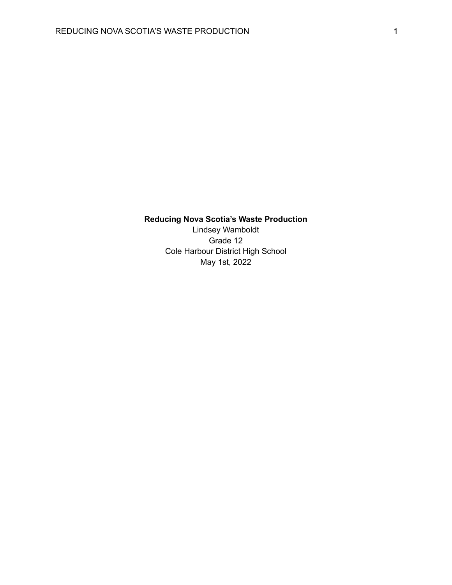## **Reducing Nova Scotia's Waste Production**

Lindsey Wamboldt Grade 12 Cole Harbour District High School May 1st, 2022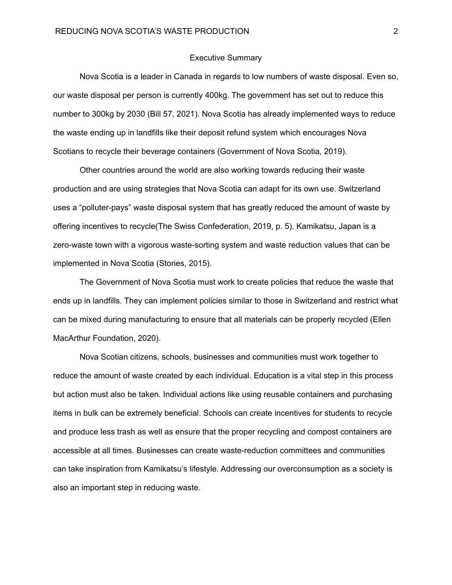## Executive Summary

Nova Scotia is a leader in Canada in regards to low numbers of waste disposal. Even so, our waste disposal per person is currently 400kg. The government has set out to reduce this number to 300kg by 2030 (Bill 57, 2021). Nova Scotia has already implemented ways to reduce the waste ending up in landfills like their deposit refund system which encourages Nova Scotians to recycle their beverage containers (Government of Nova Scotia, 2019).

Other countries around the world are also working towards reducing their waste production and are using strategies that Nova Scotia can adapt for its own use. Switzerland uses a "polluter-pays" waste disposal system that has greatly reduced the amount of waste by offering incentives to recycle(The Swiss Confederation, 2019, p. 5). Kamikatsu, Japan is a zero-waste town with a vigorous waste-sorting system and waste reduction values that can be implemented in Nova Scotia (Stories, 2015).

The Government of Nova Scotia must work to create policies that reduce the waste that ends up in landfills. They can implement policies similar to those in Switzerland and restrict what can be mixed during manufacturing to ensure that all materials can be properly recycled (Ellen MacArthur Foundation, 2020).

Nova Scotian citizens, schools, businesses and communities must work together to reduce the amount of waste created by each individual. Education is a vital step in this process but action must also be taken. Individual actions like using reusable containers and purchasing items in bulk can be extremely beneficial. Schools can create incentives for students to recycle and produce less trash as well as ensure that the proper recycling and compost containers are accessible at all times. Businesses can create waste-reduction committees and communities can take inspiration from Kamikatsu's lifestyle. Addressing our overconsumption as a society is also an important step in reducing waste.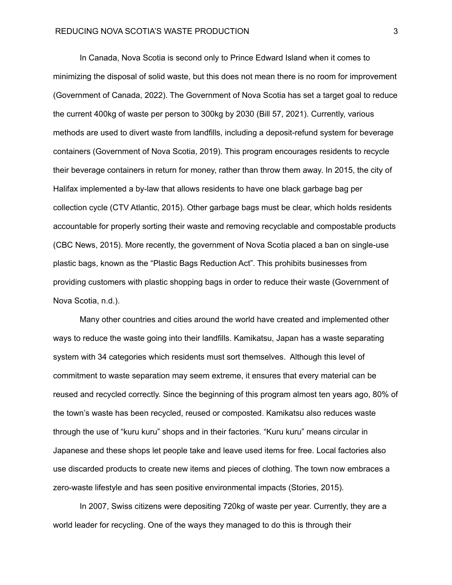In Canada, Nova Scotia is second only to Prince Edward Island when it comes to minimizing the disposal of solid waste, but this does not mean there is no room for improvement (Government of Canada, 2022). The Government of Nova Scotia has set a target goal to reduce the current 400kg of waste per person to 300kg by 2030 (Bill 57, 2021). Currently, various methods are used to divert waste from landfills, including a deposit-refund system for beverage containers (Government of Nova Scotia, 2019). This program encourages residents to recycle their beverage containers in return for money, rather than throw them away. In 2015, the city of Halifax implemented a by-law that allows residents to have one black garbage bag per collection cycle (CTV Atlantic, 2015). Other garbage bags must be clear, which holds residents accountable for properly sorting their waste and removing recyclable and compostable products (CBC News, 2015). More recently, the government of Nova Scotia placed a ban on single-use plastic bags, known as the "Plastic Bags Reduction Act". This prohibits businesses from providing customers with plastic shopping bags in order to reduce their waste (Government of Nova Scotia, n.d.).

Many other countries and cities around the world have created and implemented other ways to reduce the waste going into their landfills. Kamikatsu, Japan has a waste separating system with 34 categories which residents must sort themselves. Although this level of commitment to waste separation may seem extreme, it ensures that every material can be reused and recycled correctly. Since the beginning of this program almost ten years ago, 80% of the town's waste has been recycled, reused or composted. Kamikatsu also reduces waste through the use of "kuru kuru" shops and in their factories. "Kuru kuru" means circular in Japanese and these shops let people take and leave used items for free. Local factories also use discarded products to create new items and pieces of clothing. The town now embraces a zero-waste lifestyle and has seen positive environmental impacts (Stories, 2015).

In 2007, Swiss citizens were depositing 720kg of waste per year. Currently, they are a world leader for recycling. One of the ways they managed to do this is through their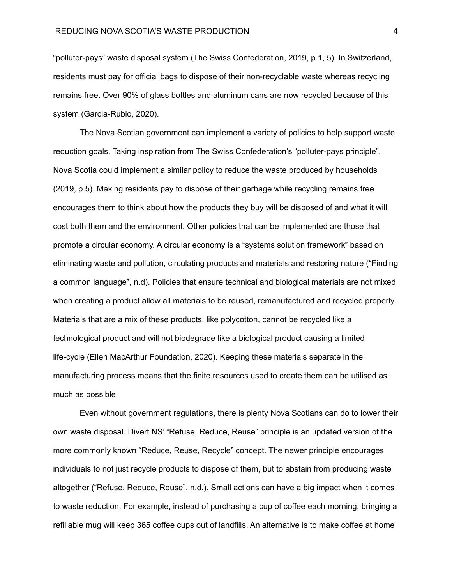"polluter-pays" waste disposal system (The Swiss Confederation, 2019, p.1, 5). In Switzerland, residents must pay for official bags to dispose of their non-recyclable waste whereas recycling remains free. Over 90% of glass bottles and aluminum cans are now recycled because of this system (Garcia-Rubio, 2020).

The Nova Scotian government can implement a variety of policies to help support waste reduction goals. Taking inspiration from The Swiss Confederation's "polluter-pays principle", Nova Scotia could implement a similar policy to reduce the waste produced by households (2019, p.5). Making residents pay to dispose of their garbage while recycling remains free encourages them to think about how the products they buy will be disposed of and what it will cost both them and the environment. Other policies that can be implemented are those that promote a circular economy. A circular economy is a "systems solution framework" based on eliminating waste and pollution, circulating products and materials and restoring nature ("Finding a common language", n.d). Policies that ensure technical and biological materials are not mixed when creating a product allow all materials to be reused, remanufactured and recycled properly. Materials that are a mix of these products, like polycotton, cannot be recycled like a technological product and will not biodegrade like a biological product causing a limited life-cycle (Ellen MacArthur Foundation, 2020). Keeping these materials separate in the manufacturing process means that the finite resources used to create them can be utilised as much as possible.

Even without government regulations, there is plenty Nova Scotians can do to lower their own waste disposal. Divert NS' "Refuse, Reduce, Reuse" principle is an updated version of the more commonly known "Reduce, Reuse, Recycle" concept. The newer principle encourages individuals to not just recycle products to dispose of them, but to abstain from producing waste altogether ("Refuse, Reduce, Reuse", n.d.). Small actions can have a big impact when it comes to waste reduction. For example, instead of purchasing a cup of coffee each morning, bringing a refillable mug will keep 365 coffee cups out of landfills. An alternative is to make coffee at home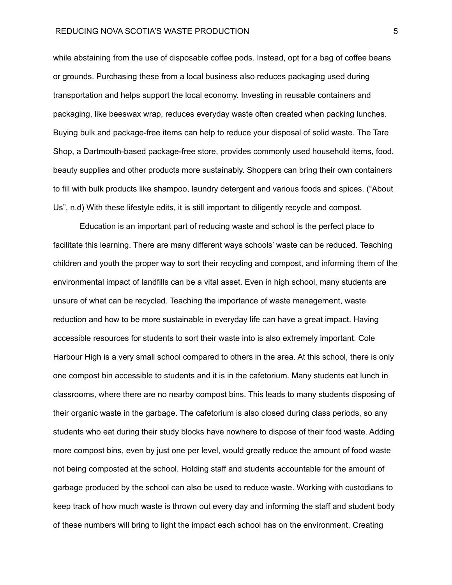## REDUCING NOVA SCOTIA'S WASTE PRODUCTION 5

while abstaining from the use of disposable coffee pods. Instead, opt for a bag of coffee beans or grounds. Purchasing these from a local business also reduces packaging used during transportation and helps support the local economy. Investing in reusable containers and packaging, like beeswax wrap, reduces everyday waste often created when packing lunches. Buying bulk and package-free items can help to reduce your disposal of solid waste. The Tare Shop, a Dartmouth-based package-free store, provides commonly used household items, food, beauty supplies and other products more sustainably. Shoppers can bring their own containers to fill with bulk products like shampoo, laundry detergent and various foods and spices. ("About Us", n.d) With these lifestyle edits, it is still important to diligently recycle and compost.

Education is an important part of reducing waste and school is the perfect place to facilitate this learning. There are many different ways schools' waste can be reduced. Teaching children and youth the proper way to sort their recycling and compost, and informing them of the environmental impact of landfills can be a vital asset. Even in high school, many students are unsure of what can be recycled. Teaching the importance of waste management, waste reduction and how to be more sustainable in everyday life can have a great impact. Having accessible resources for students to sort their waste into is also extremely important. Cole Harbour High is a very small school compared to others in the area. At this school, there is only one compost bin accessible to students and it is in the cafetorium. Many students eat lunch in classrooms, where there are no nearby compost bins. This leads to many students disposing of their organic waste in the garbage. The cafetorium is also closed during class periods, so any students who eat during their study blocks have nowhere to dispose of their food waste. Adding more compost bins, even by just one per level, would greatly reduce the amount of food waste not being composted at the school. Holding staff and students accountable for the amount of garbage produced by the school can also be used to reduce waste. Working with custodians to keep track of how much waste is thrown out every day and informing the staff and student body of these numbers will bring to light the impact each school has on the environment. Creating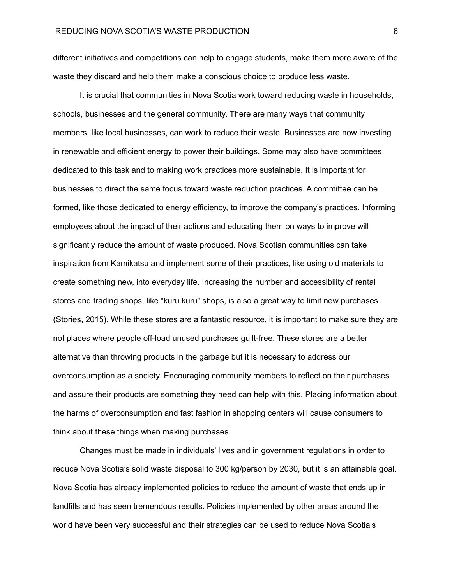different initiatives and competitions can help to engage students, make them more aware of the waste they discard and help them make a conscious choice to produce less waste.

It is crucial that communities in Nova Scotia work toward reducing waste in households, schools, businesses and the general community. There are many ways that community members, like local businesses, can work to reduce their waste. Businesses are now investing in renewable and efficient energy to power their buildings. Some may also have committees dedicated to this task and to making work practices more sustainable. It is important for businesses to direct the same focus toward waste reduction practices. A committee can be formed, like those dedicated to energy efficiency, to improve the company's practices. Informing employees about the impact of their actions and educating them on ways to improve will significantly reduce the amount of waste produced. Nova Scotian communities can take inspiration from Kamikatsu and implement some of their practices, like using old materials to create something new, into everyday life. Increasing the number and accessibility of rental stores and trading shops, like "kuru kuru" shops, is also a great way to limit new purchases (Stories, 2015). While these stores are a fantastic resource, it is important to make sure they are not places where people off-load unused purchases guilt-free. These stores are a better alternative than throwing products in the garbage but it is necessary to address our overconsumption as a society. Encouraging community members to reflect on their purchases and assure their products are something they need can help with this. Placing information about the harms of overconsumption and fast fashion in shopping centers will cause consumers to think about these things when making purchases.

Changes must be made in individuals' lives and in government regulations in order to reduce Nova Scotia's solid waste disposal to 300 kg/person by 2030, but it is an attainable goal. Nova Scotia has already implemented policies to reduce the amount of waste that ends up in landfills and has seen tremendous results. Policies implemented by other areas around the world have been very successful and their strategies can be used to reduce Nova Scotia's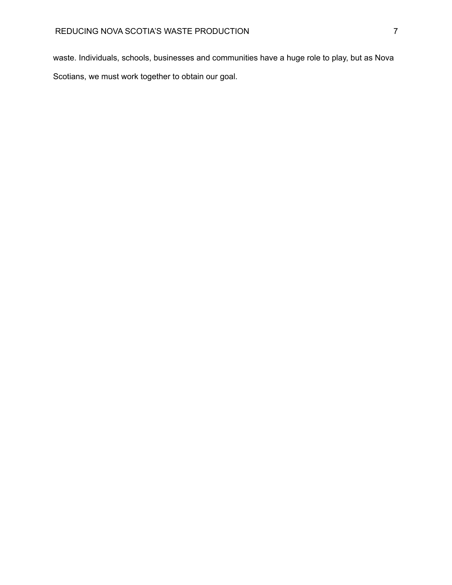waste. Individuals, schools, businesses and communities have a huge role to play, but as Nova Scotians, we must work together to obtain our goal.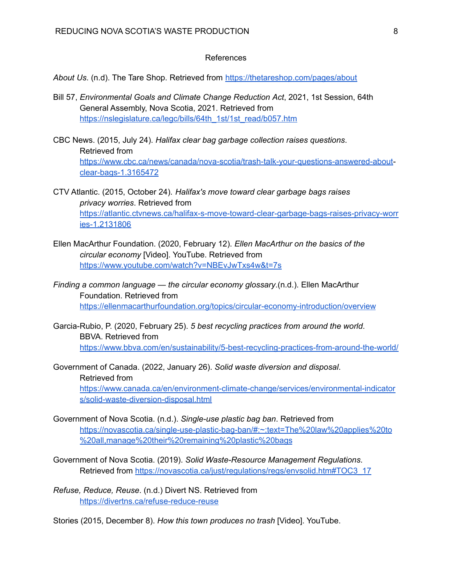## References

*About Us*. (n.d). The Tare Shop. Retrieved from <https://thetareshop.com/pages/about>

- Bill 57, *Environmental Goals and Climate Change Reduction Act*, 2021, 1st Session, 64th General Assembly, Nova Scotia, 2021. Retrieved from [https://nslegislature.ca/legc/bills/64th\\_1st/1st\\_read/b057.htm](https://nslegislature.ca/legc/bills/64th_1st/1st_read/b057.htm)
- CBC News. (2015, July 24). *Halifax clear bag garbage collection raises questions*. Retrieved from [https://www.cbc.ca/news/canada/nova-scotia/trash-talk-your-questions-answered-about](https://www.cbc.ca/news/canada/nova-scotia/trash-talk-your-questions-answered-about-clear-bags-1.3165472)[clear-bags-1.3165472](https://www.cbc.ca/news/canada/nova-scotia/trash-talk-your-questions-answered-about-clear-bags-1.3165472)
- CTV Atlantic. (2015, October 24). *Halifax's move toward clear garbage bags raises privacy worries*. Retrieved from [https://atlantic.ctvnews.ca/halifax-s-move-toward-clear-garbage-bags-raises-privacy-worr](https://atlantic.ctvnews.ca/halifax-s-move-toward-clear-garbage-bags-raises-privacy-worries-1.2131806) [ies-1.2131806](https://atlantic.ctvnews.ca/halifax-s-move-toward-clear-garbage-bags-raises-privacy-worries-1.2131806)
- Ellen MacArthur Foundation. (2020, February 12). *Ellen MacArthur on the basics of the circular economy* [Video]. YouTube. Retrieved from <https://www.youtube.com/watch?v=NBEvJwTxs4w&t=7s>
- *Finding a common language — the circular economy glossary*.(n.d.). Ellen MacArthur Foundation. Retrieved from <https://ellenmacarthurfoundation.org/topics/circular-economy-introduction/overview>
- Garcia-Rubio, P. (2020, February 25). *5 best recycling practices from around the world*. BBVA. Retrieved from <https://www.bbva.com/en/sustainability/5-best-recycling-practices-from-around-the-world/>
- Government of Canada. (2022, January 26). *Solid waste diversion and disposal*. Retrieved from [https://www.canada.ca/en/environment-climate-change/services/environmental-indicator](https://www.canada.ca/en/environment-climate-change/services/environmental-indicators/solid-waste-diversion-disposal.html) [s/solid-waste-diversion-disposal.html](https://www.canada.ca/en/environment-climate-change/services/environmental-indicators/solid-waste-diversion-disposal.html)
- Government of Nova Scotia. (n.d.). *Single-use plastic bag ban*. Retrieved from [https://novascotia.ca/single-use-plastic-bag-ban/#:~:text=The%20law%20applies%20to](https://novascotia.ca/single-use-plastic-bag-ban/#:~:text=The%20law%20applies%20to%20all,manage%20their%20remaining%20plastic%20bags) [%20all,manage%20their%20remaining%20plastic%20bags](https://novascotia.ca/single-use-plastic-bag-ban/#:~:text=The%20law%20applies%20to%20all,manage%20their%20remaining%20plastic%20bags)
- Government of Nova Scotia. (2019). *Solid Waste-Resource Management Regulations*. Retrieved from [https://novascotia.ca/just/regulations/regs/envsolid.htm#TOC3\\_17](https://novascotia.ca/just/regulations/regs/envsolid.htm#TOC3_17)
- *Refuse, Reduce, Reuse*. (n.d.) Divert NS. Retrieved from <https://divertns.ca/refuse-reduce-reuse>

Stories (2015, December 8). *How this town produces no trash* [Video]. YouTube.